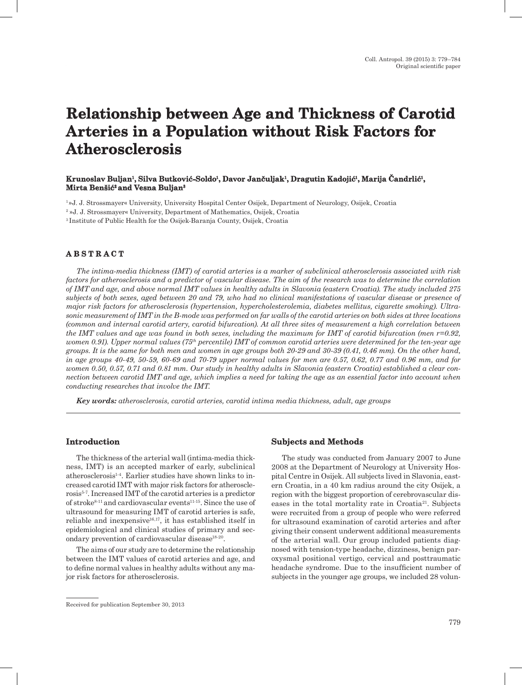# **Relationship between Age and Thickness of Carotid Arteries in a Population without Risk Factors for Atherosclerosis**

## **Krunoslav Buljan1, Silva Butković-Soldo<sup>1</sup>, Davor Jančuljak<sup>1</sup>, Dragutin Kadojić<sup>1</sup>, Marija Čandrlić1, Mirta Benšić2 and Vesna Buljan3**

1 »J. J. Strossmayer« University, University Hospital Center Osijek, Department of Neurology, Osijek, Croatia 2 »J. J. Strossmayer« University, Department of Mathematics, Osijek, Croatia 3 Institute of Public Health for the Osijek-Baranja County, Osijek, Croatia

## **A B S T R A C T**

*The intima-media thickness (IMT) of carotid arteries is a marker of subclinical atherosclerosis associated with risk factors for atherosclerosis and a predictor of vascular disease. The aim of the research was to determine the correlation of IMT and age, and above normal IMT values in healthy adults in Slavonia (eastern Croatia). The study included 275 subjects of both sexes, aged between 20 and 79, who had no clinical manifestations of vascular disease or presence of major risk factors for atherosclerosis (hypertension, hypercholesterolemia, diabetes mellitus, cigarette smoking). Ultrasonic measurement of IMT in the B-mode was performed on far walls of the carotid arteries on both sides at three locations (common and internal carotid artery, carotid bifurcation). At all three sites of measurement a high correlation between the IMT values and age was found in both sexes, including the maximum for IMT of carotid bifurcation (men r=0.92, women 0.91). Upper normal values (75th percentile) IMT of common carotid arteries were determined for the ten-year age groups. It is the same for both men and women in age groups both 20-29 and 30-39 (0.41, 0.46 mm). On the other hand, in age groups 40-49, 50-59, 60-69 and 70-79 upper normal values for men are 0.57, 0.62, 0.77 and 0.96 mm, and for women 0.50, 0.57, 0.71 and 0.81 mm. Our study in healthy adults in Slavonia (eastern Croatia) established a clear connection between carotid IMT and age, which implies a need for taking the age as an essential factor into account when conducting researches that involve the IMT.*

*Key words: atherosclerosis, carotid arteries, carotid intima media thickness, adult, age groups*

### **Introduction**

The thickness of the arterial wall (intima-media thickness, IMT) is an accepted marker of early, subclinical atherosclerosis1-4. Earlier studies have shown links to increased carotid IMT with major risk factors for atherosclerosis5-7. Increased IMT of the carotid arteries is a predictor of stroke<sup>8-11</sup> and cardiovascular events<sup>11-15</sup>. Since the use of ultrasound for measuring IMT of carotid arteries is safe, reliable and inexpensive16,17, it has established itself in epidemiological and clinical studies of primary and secondary prevention of cardiovascular disease<sup>18-20</sup>.

The aims of our study are to determine the relationship between the IMT values of carotid arteries and age, and to define normal values in healthy adults without any major risk factors for atherosclerosis.

## **Subjects and Methods**

The study was conducted from January 2007 to June 2008 at the Department of Neurology at University Hospital Centre in Osijek. All subjects lived in Slavonia, eastern Croatia, in a 40 km radius around the city Osijek, a region with the biggest proportion of cerebrovascular diseases in the total mortality rate in Croatia<sup>21</sup>. Subjects were recruited from a group of people who were referred for ultrasound examination of carotid arteries and after giving their consent underwent additional measurements of the arterial wall. Our group included patients diagnosed with tension-type headache, dizziness, benign paroxysmal positional vertigo, cervical and posttraumatic headache syndrome. Due to the insufficient number of subjects in the younger age groups, we included 28 volun-

Received for publication September 30, 2013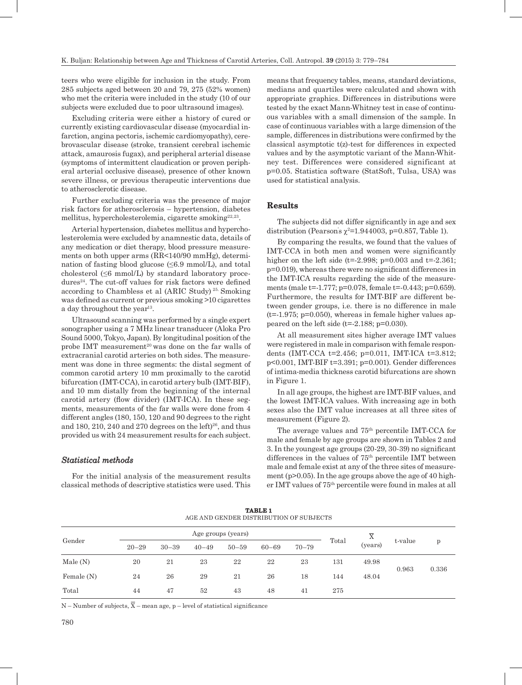teers who were eligible for inclusion in the study. From 285 subjects aged between 20 and 79, 275 (52% women) who met the criteria were included in the study (10 of our subjects were excluded due to poor ultrasound images).

Excluding criteria were either a history of cured or currently existing cardiovascular disease (myocardial infarction, angina pectoris, ischemic cardiomyopathy), cerebrovascular disease (stroke, transient cerebral ischemic attack, amaurosis fugax), and peripheral arterial disease (symptoms of intermittent claudication or proven peripheral arterial occlusive disease), presence of other known severe illness, or previous therapeutic interventions due to atherosclerotic disease.

Further excluding criteria was the presence of major risk factors for atherosclerosis – hypertension, diabetes mellitus, hypercholesterolemia, cigarette smoking<sup>22,23</sup>.

Arterial hypertension, diabetes mellitus and hypercholesterolemia were excluded by anamnestic data, details of any medication or diet therapy, blood pressure measurements on both upper arms (RR<140/90 mmHg), determination of fasting blood glucose  $(\leq 6.9 \text{ mmol/L})$ , and total cholesterol  $(\leq 6 \text{ mmol/L})$  by standard laboratory procedures<sup>24</sup>. The cut-off values for risk factors were defined according to Chambless et al (ARIC Study) 25. Smoking was defined as current or previous smoking >10 cigarettes a day throughout the year<sup>13</sup>.

Ultrasound scanning was performed by a single expert sonographer using a 7 MHz linear transducer (Aloka Pro Sound 5000, Tokyo, Japan). By longitudinal position of the probe IMT measurement<sup>20</sup> was done on the far walls of extracranial carotid arteries on both sides. The measurement was done in three segments: the distal segment of common carotid artery 10 mm proximally to the carotid bifurcation (IMT-CCA), in carotid artery bulb (IMT-BIF), and 10 mm distally from the beginning of the internal carotid artery (flow divider) (IMT-ICA). In these segments, measurements of the far walls were done from 4 different angles (180, 150, 120 and 90 degrees to the right and 180, 210, 240 and 270 degrees on the left $)^{26}$ , and thus provided us with 24 measurement results for each subject.

## *Statistical methods*

For the initial analysis of the measurement results classical methods of descriptive statistics were used. This means that frequency tables, means, standard deviations, medians and quartiles were calculated and shown with appropriate graphics. Differences in distributions were tested by the exact Mann-Whitney test in case of continuous variables with a small dimension of the sample. In case of continuous variables with a large dimension of the sample, differences in distributions were confirmed by the classical asymptotic t(z)-test for differences in expected values and by the asymptotic variant of the Mann-Whitney test. Differences were considered significant at p=0.05. Statistica software (StatSoft, Tulsa, USA) was used for statistical analysis.

## **Results**

The subjects did not differ significantly in age and sex distribution (Pearson's  $\chi^2$ =1.944003, p=0.857, Table 1).

By comparing the results, we found that the values of IMT-CCA in both men and women were significantly higher on the left side (t=-2.998;  $p=0.003$  and t=-2.361; p=0.019), whereas there were no significant differences in the IMT-ICA results regarding the side of the measurements (male t=-1.777; p=0.078, female t=-0.443; p=0.659). Furthermore, the results for IMT-BIF are different between gender groups, i.e. there is no difference in male  $(t=1.975; p=0.050)$ , whereas in female higher values appeared on the left side (t=-2.188; p=0.030).

At all measurement sites higher average IMT values were registered in male in comparison with female respondents (IMT-CCA t=2.456; p=0.011, IMT-ICA t=3.812; p<0.001, IMT-BIF t=3.391; p=0.001). Gender differences of intima-media thickness carotid bifurcations are shown in Figure 1.

In all age groups, the highest are IMT-BIF values, and the lowest IMT-ICA values. With increasing age in both sexes also the IMT value increases at all three sites of measurement (Figure 2).

The average values and  $75<sup>th</sup>$  percentile IMT-CCA for male and female by age groups are shown in Tables 2 and 3. In the youngest age groups (20-29, 30-39) no significant differences in the values of  $75<sup>th</sup>$  percentile IMT between male and female exist at any of the three sites of measurement ( $p>0.05$ ). In the age groups above the age of 40 higher IMT values of 75th percentile were found in males at all

| <b>TABLE 1</b><br>AGE AND GENDER DISTRIBUTION OF SUBJECTS |                    |           |           |           |           |           |       |         |         |       |
|-----------------------------------------------------------|--------------------|-----------|-----------|-----------|-----------|-----------|-------|---------|---------|-------|
| Gender                                                    | Age groups (years) |           |           |           |           |           |       | X       |         |       |
|                                                           | $20 - 29$          | $30 - 39$ | $40 - 49$ | $50 - 59$ | $60 - 69$ | $70 - 79$ | Total | (years) | t-value | p     |
| Male(N)                                                   | 20                 | 21        | 23        | 22        | 22        | 23        | 131   | 49.98   | 0.963   | 0.336 |
| Female (N)                                                | 24                 | 26        | 29        | 21        | 26        | 18        | 144   | 48.04   |         |       |
| Total                                                     | 44                 | 47        | 52        | 43        | 48        | 41        | 275   |         |         |       |

N – Number of subjects,  $\overline{X}$  – mean age, p – level of statistical significance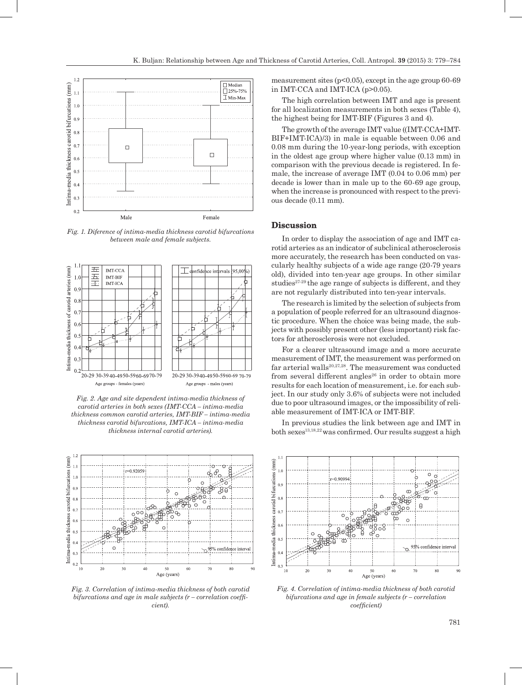

*Fig. 1. Diference of intima-media thickness carotid bifurcations between male and female subjects.*



*Fig. 2. Age and site dependent intima-media thickness of carotid arteries in both sexes (IMT-CCA – intima-media thickness common carotid arteries, IMT-BIF – intima-media thickness carotid bifurcations, IMT-ICA – intima-media thickness internal carotid arteries).*



*Fig. 3. Correlation of intima-media thickness of both carotid bifurcations and age in male subjects (r – correlation coefficient).*

measurement sites ( $p<0.05$ ), except in the age group 60-69 in IMT-CCA and IMT-ICA (p>0.05).

The high correlation between IMT and age is present for all localization measurements in both sexes (Table 4), the highest being for IMT-BIF (Figures 3 and 4).

The growth of the average IMT value ((IMT-CCA+IMT-BIF+IMT-ICA)/3) in male is equable between 0.06 and 0.08 mm during the 10-year-long periods, with exception in the oldest age group where higher value (0.13 mm) in comparison with the previous decade is registered. In female, the increase of average IMT (0.04 to 0.06 mm) per decade is lower than in male up to the 60-69 age group, when the increase is pronounced with respect to the previous decade (0.11 mm).

## **Discussion**

In order to display the association of age and IMT carotid arteries as an indicator of subclinical atherosclerosis more accurately, the research has been conducted on vascularly healthy subjects of a wide age range (20-79 years old), divided into ten-year age groups. In other similar studies<sup>27-29</sup> the age range of subjects is different, and they are not regularly distributed into ten-year intervals.

The research is limited by the selection of subjects from a population of people referred for an ultrasound diagnostic procedure. When the choice was being made, the subjects with possibly present other (less important) risk factors for atherosclerosis were not excluded.

For a clearer ultrasound image and a more accurate measurement of IMT, the measurement was performed on far arterial walls<sup>20,27,28</sup>. The measurement was conducted from several different angles $^{26}$  in order to obtain more results for each location of measurement, i.e. for each subject. In our study only 3.6% of subjects were not included due to poor ultrasound images, or the impossibility of reliable measurement of IMT-ICA or IMT-BIF.

In previous studies the link between age and IMT in  $both$  sexes<sup>13,18,22</sup> was confirmed. Our results suggest a high



*Fig. 4. Correlation of intima-media thickness of both carotid bifurcations and age in female subjects (r – correlation coefficient)*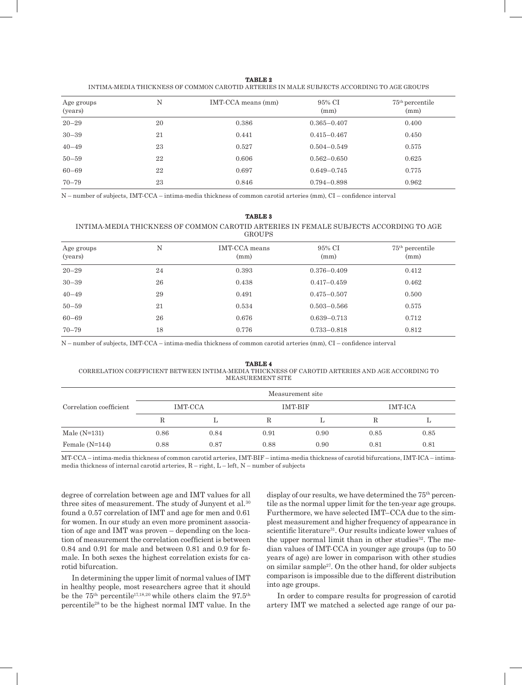| ٧ |
|---|
|---|

| INTIMA-MEDIA THICKNESS OF COMMON CAROTID ARTERIES IN MALE SUBJECTS ACCORDING TO AGE GROUPS |  |
|--------------------------------------------------------------------------------------------|--|
|--------------------------------------------------------------------------------------------|--|

| N<br>Age groups<br>(years) |    | IMT-CCA means (mm) | 95% CI<br>(mm)  | $75th$ percentile<br>(mm) |  |
|----------------------------|----|--------------------|-----------------|---------------------------|--|
| $20 - 29$                  | 20 | 0.386              | $0.365 - 0.407$ | 0.400                     |  |
| $30 - 39$                  | 21 | 0.441              | $0.415 - 0.467$ | 0.450                     |  |
| $40 - 49$                  | 23 | 0.527              | $0.504 - 0.549$ | 0.575                     |  |
| $50 - 59$                  | 22 | 0.606              | $0.562 - 0.650$ | 0.625                     |  |
| $60 - 69$                  | 22 | 0.697              | $0.649 - 0.745$ | 0.775                     |  |
| $70 - 79$                  | 23 | 0.846              | $0.794 - 0.898$ | 0.962                     |  |

N – number of subjects, IMT-CCA – intima-media thickness of common carotid arteries (mm), CI – confidence interval

#### **TABLE 3**

#### INTIMA-MEDIA THICKNESS OF COMMON CAROTID ARTERIES IN FEMALE SUBJECTS ACCORDING TO AGE **GROUPS**

| Age groups<br>(years) | N  | IMT-CCA means<br>(mm) | 95% CI<br>(mm)  | $75th$ percentile<br>(mm) |
|-----------------------|----|-----------------------|-----------------|---------------------------|
| $20 - 29$             | 24 | 0.393                 | $0.376 - 0.409$ | 0.412                     |
| $30 - 39$             | 26 | 0.438                 | $0.417 - 0.459$ | 0.462                     |
| $40 - 49$             | 29 | 0.491                 | $0.475 - 0.507$ | 0.500                     |
| $50 - 59$             | 21 | 0.534                 | $0.503 - 0.566$ | 0.575                     |
| $60 - 69$             | 26 | 0.676                 | $0.639 - 0.713$ | 0.712                     |
| $70 - 79$             | 18 | 0.776                 | $0.733 - 0.818$ | 0.812                     |

N – number of subjects, IMT-CCA – intima-media thickness of common carotid arteries (mm), CI – confidence interval

#### **TABLE 4** CORRELATION COEFFICIENT BETWEEN INTIMA-MEDIA THICKNESS OF CAROTID ARTERIES AND AGE ACCORDING TO MEASUREMENT SITE

|                         |         |      |      | Measurement site |         |      |
|-------------------------|---------|------|------|------------------|---------|------|
| Correlation coefficient | IMT-CCA |      |      | IMT BIF          | IMT-ICA |      |
|                         |         |      |      |                  |         | L    |
| Male $(N=131)$          | 0.86    | 0.84 | 0.91 | 0.90             | 0.85    | 0.85 |
| Female $(N=144)$        | 0.88    | 0.87 | 0.88 | 0.90             | 0.81    | 0.81 |

MT-CCA – intima-media thickness of common carotid arteries, IMT-BIF – intima-media thickness of carotid bifurcations, IMT-ICA – intimamedia thickness of internal carotid arteries, R – right, L – left, N – number of subjects

degree of correlation between age and IMT values for all three sites of measurement. The study of Junyent et al.<sup>30</sup> found a 0.57 correlation of IMT and age for men and 0.61 for women. In our study an even more prominent association of age and IMT was proven – depending on the location of measurement the correlation coefficient is between 0.84 and 0.91 for male and between 0.81 and 0.9 for female. In both sexes the highest correlation exists for carotid bifurcation.

In determining the upper limit of normal values of IMT in healthy people, most researchers agree that it should be the  $75<sup>th</sup>$  percentile<sup>17,18,20</sup> while others claim the 97.5<sup>th</sup> percentile28 to be the highest normal IMT value. In the

display of our results, we have determined the  $75<sup>th</sup>$  percentile as the normal upper limit for the ten-year age groups. Furthermore, we have selected IMT–CCA due to the simplest measurement and higher frequency of appearance in scientific literature<sup>31</sup>. Our results indicate lower values of the upper normal limit than in other studies $32$ . The median values of IMT-CCA in younger age groups (up to 50 years of age) are lower in comparison with other studies on similar sample27. On the other hand, for older subjects comparison is impossible due to the different distribution into age groups.

In order to compare results for progression of carotid artery IMT we matched a selected age range of our pa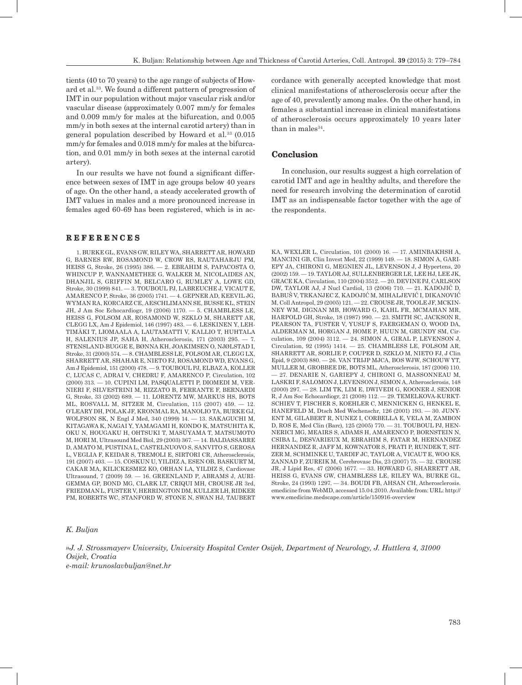tients (40 to 70 years) to the age range of subjects of Howard et al.33. We found a different pattern of progression of IMT in our population without major vascular risk and/or vascular disease (approximately 0.007 mm/y for females and 0.009 mm/y for males at the bifurcation, and 0.005 mm/y in both sexes at the internal carotid artery) than in general population described by Howard et al. $33$  (0.015) mm/y for females and 0.018 mm/y for males at the bifurcation, and 0.01 mm/y in both sexes at the internal carotid artery).

In our results we have not found a significant difference between sexes of IMT in age groups below 40 years of age. On the other hand, a steady accelerated growth of IMT values in males and a more pronounced increase in females aged 60-69 has been registered, which is in ac-

## **R E F E R E N C E S**

1. BURKE GL, EVANS GW, RILEY WA, SHARRETT AR, HOWARD G, BARNES RW, ROSAMOND W, CROW RS, RAUTAHARJU PM, HEISS G, Stroke, 26 (1995) 386.  $-2$ . EBRAHIM S, PAPACOSTA O WHINCUP P, WANNAMETHEE G, WALKER M, NICOLAIDES AN, DHANJIL S, GRIFFIN M, BELCARO G, RUMLEY A, LOWE GD, Stroke, 30 (1999) 841. — 3. TOUBOUL PJ, LABREUCHE J, VICAUT E, AMARENCO P, Stroke, 36 (2005) 1741. — 4. GEPNER AD, KEEVIL JG, WYMAN RA, KORCARZ CE, AESCHLIMANN SE, BUSSE KL, STEIN JH, J Am Soc Echocardiogr, 19 (2006) 1170. — 5. CHAMBLESS LE, HEISS G, FOLSOM AR, ROSAMOND W, SZKLO M, SHARETT AR, CLEGG LX, Am J Epidemiol, 146 (1997) 483. — 6. LESKINEN Y, LEH-TIMÄKI T, LIOMAALA A, LAUTAMATTI V, KALLIO T, HUHTALA H, SALENIUS JP, SAHA H, Atherosclerosis, 171 (2003) 295. — 7. STENSLAND-BUGGE E, BØNNA KH, JOAKIMSEN O, NJØLSTAD I, Stroke, 31 (2000) 574. — 8. CHAMBLESS LE, FOLSOM AR, CLEGG LX, SHARRETT AR, SHAHAR E, NIETO FJ, ROSAMOND WD, EVANS G, Am J Epidemiol, 151 (2000) 478. — 9. TOUBOUL PJ, ELBAZ A, KOLLER C, LUCAS C, ADRAI V, CHEDRU F, AMARENCO P, Circulation, 102 (2000) 313. — 10. CUPINI LM, PASQUALETTI P, DIOMEDI M, VER-NIERI F, SILVESTRINI M, RIZZATO B, FERRANTE F, BERNARDI G, Stroke, 33 (2002) 689. — 11. LORENTZ MW, MARKUS HS, BOTS ML, ROSVALL M, SITZER M, Circulation, 115 (2007) 459. — 12. O'LEARY DH, POLAK JF, KRONMAL RA, MANOLIO TA, BURKE GJ, WOLFSON SK, N Engl J Med, 340 (1999) 14. — 13. SAKAGUCHI M, KITAGAWA K, NAGAI Y, YAMAGAMI H, KONDO K, MATSUHITA K, OKU N, HOUGAKU H, OHTSUKI T, MASUYAMA T, MATSUMOTO M, HORI M, Ultrasound Med Biol, 29 (2003) 367. — 14. BALDASSARRE D, AMATO M, PUSTINA L, CASTELNUOVO S, SANVITO S, GEROSA L, VEGLIA F, KEIDAR S, TREMOLI E, SIRTORI CR, Atherosclerosis, 191 (2007) 403. — 15. COSKUN U, YILDIZ A, ESEN OB, BASKURT M, CAKAR MA, KILICKESMEZ KO, ORHAN LA, YILDIZ S, Cardiovasc Ultrasound, 7 (2009) 59. — 16. GREENLAND P, ABRAMS J, AURI-GEMMA GP, BOND MG, CLARK LT, CRIQUI MH, CROUSE JR 3rd, FRIEDMAN L, FUSTER V, HERRINGTON DM, KULLER LH, RIDKER PM, ROBERTS WC, STANFORD W, STONE N, SWAN HJ, TAUBERT cordance with generally accepted knowledge that most clinical manifestations of atherosclerosis occur after the age of 40, prevalently among males. On the other hand, in females a substantial increase in clinical manifestations of atherosclerosis occurs approximately 10 years later than in males $34$ .

## **Conclusion**

In conclusion, our results suggest a high correlation of carotid IMT and age in healthy adults, and therefore the need for research involving the determination of carotid IMT as an indispensable factor together with the age of the respondents.

KA, WEXLER L, Circulation, 101 (2000) 16. — 17. AMINBAKHSH A, MANCINI GB, Clin Invest Med, 22 (1999) 149. — 18. SIMON A, GARI-EPY JA, CHIRONI G, MEGNIEN JL, LEVENSON J, J Hypertens, 20 (2002) 159. — 19. TAYLOR AJ, SULLENBERGER LE, LEE HJ, LEE JK, GRACE KA, Circulation, 110 (2004) 3512. — 20. DEVINE PJ, CARLSON DW, TAYLOR AJ, J Nucl Cardiol, 13 (2006) 710. — 21. KADOJIĆ D, BABUŠ V, TRKANJEC Z, KADOJIĆ M, MIHALJEVIĆ I, DIKANOVIĆ M, Coll Antropol, 29 (2005) 121. — 22. CROUSE JR, TOOLE JF, MCKIN-NEY WM, DIGNAN MB, HOWARD G, KAHL FR, MCMAHAN MR, HARPOLD GH, Stroke, 18 (1987) 990. — 23. SMITH SC, JACKSON R, PEARSON TA, FUSTER V, YUSUF S, FAERGEMAN O, WOOD DA, ALDERMAN M, HORGAN J, HOME P, HUUN M, GRUNDY SM, Circulation, 109 (2004) 3112. — 24. SIMON A, GIRAL P, LEVENSON J, Circulation, 92 (1995) 1414. — 25. CHAMBLESS LE, FOLSOM AR, SHARRETT AR, SORLIE P, COUPER D, SZKLO M, NIETO FJ, J Clin Epid, 9 (2003) 880. — 26. VAN TRIJP MJCA, BOS WJW, SCHOUW YT, MULLER M, GROBBEE DE, BOTS ML, Atherosclerosis, 187 (2006) 110. — 27. DENARIE N, GARIEPY J, CHIRONI G, MASSONNEAU M, LASKRI F, SALOMON J, LEVENSON J, SIMON A, Atherosclerosis, 148 (2000) 297. — 28. LIM TK, LIM E, DWIVEDI G, KOONER J, SENIOR R, J Am Soc Echocardiogr, 21 (2008) 112. — 29. TEMELKOVA-KURKT-SCHIEV T, FISCHER S, KOEHLER C, MENNICKEN G, HENKEL E, HANEFELD M, Dtsch Med Wochenschr, 126 (2001) 193. — 30. JUNY-ENT M, GILABERT R, NUNEZ I, CORBELLA E, VELA M, ZAMBON D, ROS E, Med Clin (Barc), 125 (2005) 770. — 31. TOUBOUL PJ, HEN-NERICI MG, MEAIRS S, ADAMS H, AMARENCO P, BORNSTEIN N, CSIBA L, DESVARIEUX M, EBRAHIM S, FATAR M, HERNANDEZ HERNANDEZ R, JAFF M, KOWNATOR S, PRATI P, RUNDEK T, SIT-ZER M, SCHMINKE U, TARDIF JC, TAYLOR A, VICAUT E, WOO KS, ZANNAD F, ZUREIK M, Cerebrovasc Dis, 23 (2007) 75. — 32. CROUSE JR, J Lipid Res, 47 (2006) 1677. — 33. HOWARD G, SHARRETT AR, HEISS G, EVANS GW, CHAMBLESS LE, RILEY WA, BURKE GL, Stroke, 24 (1993) 1297. — 34. BOUDI FB, AHSAN CH, Atherosclerosis. emedicine from WebMD, accessed 15.04.2010. Available from: URL: http:// www.emedicine.medscape.com/article/150916-overview

#### *K. Buljan*

*»J. J. Strossmayer« University, University Hospital Center Osijek, Department of Neurology, J. Huttlera 4, 31000 Osijek, Croatia e-mail: krunoslavbuljan@net.hr*